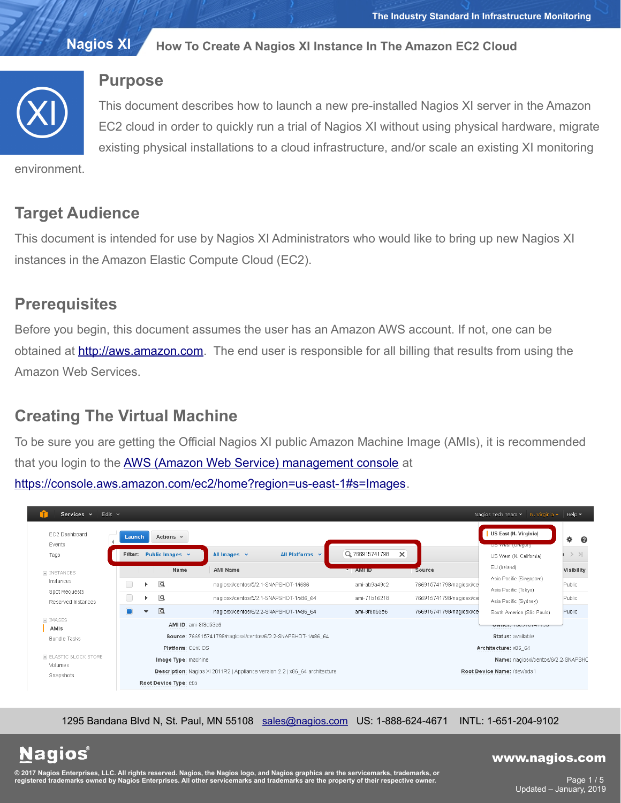

## **Purpose**

This document describes how to launch a new pre-installed Nagios XI server in the Amazon EC2 cloud in order to quickly run a trial of Nagios XI without using physical hardware, migrate existing physical installations to a cloud infrastructure, and/or scale an existing XI monitoring

environment.

# **Target Audience**

This document is intended for use by Nagios XI Administrators who would like to bring up new Nagios XI instances in the Amazon Elastic Compute Cloud (EC2).

# **Prerequisites**

Before you begin, this document assumes the user has an Amazon AWS account. If not, one can be obtained at **http://aws.amazon.com**. The end user is responsible for all billing that results from using the Amazon Web Services.

# **Creating The Virtual Machine**

To be sure you are getting the Official Nagios XI public Amazon Machine Image (AMIs), it is recommended that you login to the **AWS (Amazon Web Service) management console** at [https://console.aws.amazon.com/ec2/home?region=us-east-1#s=Images.](https://console.aws.amazon.com/ec2/home?region=us-east-1#s=Images)

| EC2 Dashboard                                                          | Launch               |                                                                                   | Actions $\vee$                                                              |                                         |                                     |                                                  | US East (N. Virginia)                             | ۰<br>ℯ       |
|------------------------------------------------------------------------|----------------------|-----------------------------------------------------------------------------------|-----------------------------------------------------------------------------|-----------------------------------------|-------------------------------------|--------------------------------------------------|---------------------------------------------------|--------------|
| Events<br>Tags                                                         |                      |                                                                                   | Filter: Public Images $\sim$                                                | All Platforms v<br>All Images v         | Q 766915741798                      | $\times$                                         | <b>US WEST (URQUI)</b><br>US West (N. California) | $>$ > $\geq$ |
| $\equiv$ INSTANCES<br>Instances<br>Spot Requests<br>Reserved Instances |                      | Name                                                                              | <b>AMI Name</b>                                                             | $-$ AMI ID                              | <b>Source</b>                       | EU (Ireland)                                     | Visibility                                        |              |
|                                                                        |                      |                                                                                   | $\overline{\mathsf{G}}$                                                     | nagiosxi/centos/5/2.1-SNAPSHOT-1/i686   | ami-ab9a49c2                        | 766915741798/nagiosxi/ce                         | Asia Pacific (Singapore)<br>Asia Pacific (Tokyo)  | Public       |
|                                                                        |                      |                                                                                   | $\overline{Q}$                                                              | nagiosxi/centos/5/2.1-SNAPSHOT-1/x86 64 | ami-71b16218                        | 766915741798/nagiosxi/ce                         | Asia Pacific (Sydney)                             | Public       |
|                                                                        |                      | $\mathbf{v}$                                                                      | $\overline{\mathsf{Q}}$                                                     | nagiosxi/centos/6/2.2-SNAPSHOT-1/x86 64 | ami-8f8d53e6                        | 766915741798/nagiosxi/ce                         | South America (São Paulo)                         | Public       |
| E IMAGES<br>AMIs                                                       | AMI ID: ami-8f8d53e6 |                                                                                   |                                                                             |                                         | VWIITH, (UUVIVITITUU<br>.           |                                                  |                                                   |              |
| <b>Bundle Tasks</b>                                                    |                      | Source: 766915741798/nagiosxi/centos/6/2.2-SNAPSHOT-1/x86 64<br>Platform: Cent OS |                                                                             |                                         |                                     | <b>Status: available</b><br>Architecture: x86 64 |                                                   |              |
| E ELASTIC BLOCK STORE<br>Volumes                                       | Image Type: machine  |                                                                                   |                                                                             |                                         | Name: nagiosxi/centos/6/2.2-SNAPSHC |                                                  |                                                   |              |
| Snapshots                                                              |                      |                                                                                   | Description: Nagios XI 2011R2   Appliance version 2.2   x86_64 architecture |                                         | Root Device Name: /dev/sda1         |                                                  |                                                   |              |

1295 Bandana Blvd N, St. Paul, MN 55108 [sales@nagios.com](mailto:sales@nagios.com) US: 1-888-624-4671 INTL: 1-651-204-9102

**Nagios®** 

### [www.nagios.com](https://www.nagios.com/)

© 2017 Nagios Enterprises, LLC. All rights reserved. Nagios, the Nagios logo, and Nagios graphics are the servicemarks, trademarks, or<br>registered trademarks owned by Nagios Enterprises. All other servicemarks and trademark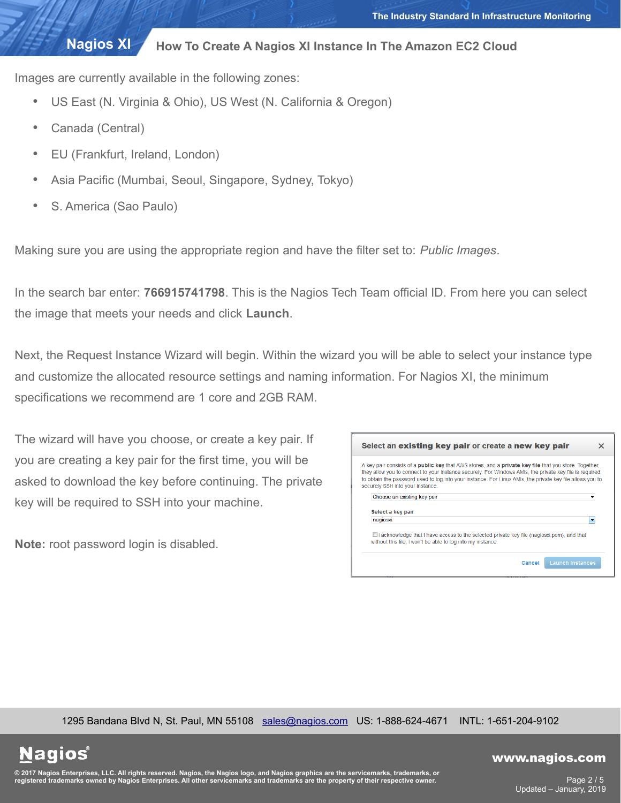Images are currently available in the following zones:

- US East (N. Virginia & Ohio), US West (N. California & Oregon)
- Canada (Central)
- EU (Frankfurt, Ireland, London)
- Asia Pacific (Mumbai, Seoul, Singapore, Sydney, Tokyo)
- S. America (Sao Paulo)

Making sure you are using the appropriate region and have the filter set to: *Public Images*.

In the search bar enter: **766915741798**. This is the Nagios Tech Team official ID. From here you can select the image that meets your needs and click **Launch**.

Next, the Request Instance Wizard will begin. Within the wizard you will be able to select your instance type and customize the allocated resource settings and naming information. For Nagios XI, the minimum specifications we recommend are 1 core and 2GB RAM.

The wizard will have you choose, or create a key pair. If you are creating a key pair for the first time, you will be asked to download the key before continuing. The private key will be required to SSH into your machine.

**Note:** root password login is disabled.

| A key pair consists of a <b>public key</b> that AWS stores, and a <b>private key file</b> that you store. Together,                                            |
|----------------------------------------------------------------------------------------------------------------------------------------------------------------|
| they allow you to connect to your instance securely. For Windows AMIs, the private key file is required                                                        |
| to obtain the password used to log into your instance. For Linux AMIs, the private key file allows you to<br>securely SSH into your instance.                  |
|                                                                                                                                                                |
| Choose an existing key pair                                                                                                                                    |
|                                                                                                                                                                |
|                                                                                                                                                                |
| Select a key pair                                                                                                                                              |
| nagiosxi<br>$\overline{\phantom{a}}$                                                                                                                           |
|                                                                                                                                                                |
| $\Box$ acknowledge that I have access to the selected private key file (nagiosxi.pem), and that<br>without this file. I won't be able to log into my instance. |

1295 Bandana Blvd N, St. Paul, MN 55108 [sales@nagios.com](mailto:sales@nagios.com) US: 1-888-624-4671 INTL: 1-651-204-9102

**Nagios**®

#### [www.nagios.com](https://www.nagios.com/)

© 2017 Nagios Enterprises, LLC. All rights reserved. Nagios, the Nagios logo, and Nagios graphics are the servicemarks, trademarks, or<br>registered trademarks owned by Nagios Enterprises. All other servicemarks and trademark

Page 2 / 5 Updated – January, 2019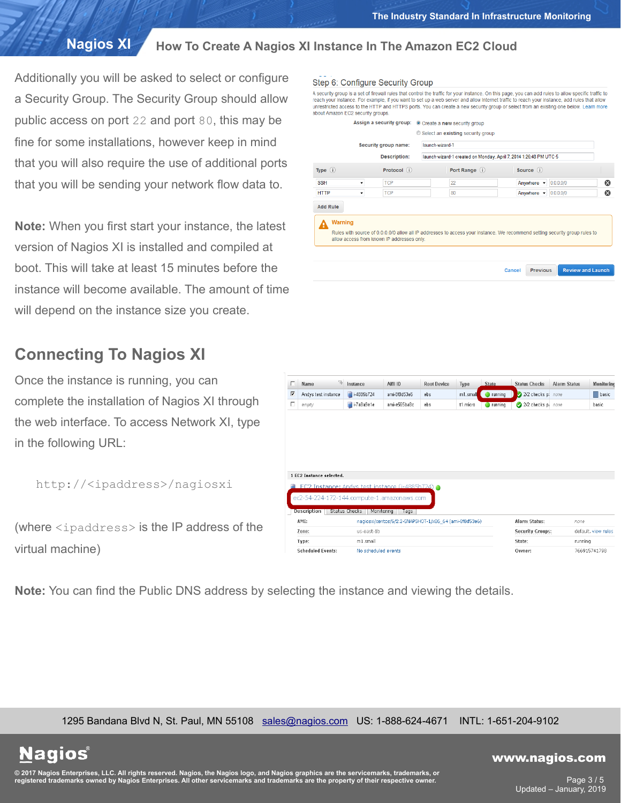Additionally you will be asked to select or configure a Security Group. The Security Group should allow public access on port 22 and port 80, this may be fine for some installations, however keep in mind that you will also require the use of additional ports that you will be sending your network flow data to.

**Note:** When you first start your instance, the latest version of Nagios XI is installed and compiled at boot. This will take at least 15 minutes before the instance will become available. The amount of time will depend on the instance size you create.

# **Connecting To Nagios XI**

Once the instance is running, you can complete the installation of Nagios XI through the web interface. To access Network XI, type in the following URL:

```
http://<ipaddress>/nagiosxi
```
(where <ipaddress> is the IP address of the virtual machine)

| п | <b>To</b><br>Name                                                | Instance             | AMI ID                                                 | <b>Root Device</b> | Type     | <b>State</b> | <b>Status Checks</b> | <b>Alarm Status</b> | Monitoring |
|---|------------------------------------------------------------------|----------------------|--------------------------------------------------------|--------------------|----------|--------------|----------------------|---------------------|------------|
| ⊽ | Andys test instance                                              | $-4885b724$          | ami-8f8d53e6                                           | ebs.               | m1.smal  | running<br>D | 2/2 checks p         | none                | basic      |
| П | empty                                                            | $\equiv$ i-7a8a9e1e  | ami-e565ba8c                                           | ebs.               | t1.micro | running<br>o | 2/2 checks p:        | none                | basic      |
|   |                                                                  |                      |                                                        |                    |          |              |                      |                     |            |
|   |                                                                  |                      |                                                        |                    |          |              |                      |                     |            |
|   | 1 EC2 Instance selected.                                         |                      |                                                        |                    |          |              |                      |                     |            |
|   | EC2 Instance: Andys test instance (i-4885h724)                   |                      |                                                        |                    |          |              |                      |                     |            |
|   | ec2-54-224-172-144.compute-1.amazonaws.com<br><b>Description</b> | <b>Status Checks</b> | Monitoring<br>Taqs                                     |                    |          |              |                      |                     |            |
|   | AMI:                                                             |                      | nagiosxi/centos/6/2.2-SNAPSHOT-1/x86_64 (ami-8f8d53e6) |                    |          |              | Alarm Status:        | none                |            |

**Note:** You can find the Public DNS address by selecting the instance and viewing the details.

1295 Bandana Blvd N, St. Paul, MN 55108 [sales@nagios.com](mailto:sales@nagios.com) US: 1-888-624-4671 INTL: 1-651-204-9102

Zone:

Type:

**Scheduled Events:** 

us-east-1b

No scheduled events

m1.small

**Nagios®** 

### [www.nagios.com](https://www.nagios.com/)

**Security Groups:** 

State:

Owner:

default, view rules

766915741798

running

© 2017 Nagios Enterprises, LLC. All rights reserved. Nagios, the Nagios logo, and Nagios graphics are the servicemarks, trademarks, or<br>registered trademarks owned by Nagios Enterprises. All other servicemarks and trademark

Page 3 / 5 Updated – January, 2019

### Step 6: Configure Security Group

A security group is a set of firewall rules that control the traffic for your instance. On this page, you can add rules to allow specific traffic to<br>reach your instance. For example, if you want to set up a web server and unrestricted access to the HTTP and HTTPS ports. You can create a new security group or select from an existing one below. Learn more about Amazon EC2 security groups.

|                     | <b>Description:</b>                        | launch-wizard-1 created on Monday, April 7, 2014 1:26:48 PM UTC-5                                                           |            |           |   |
|---------------------|--------------------------------------------|-----------------------------------------------------------------------------------------------------------------------------|------------|-----------|---|
| Type $\circledcirc$ | Protocol (i)                               | Port Range (i)                                                                                                              | Source (i) |           |   |
| <b>SSH</b>          | <b>TCP</b><br>۰                            | 22                                                                                                                          | Anywhere v | 0.0.0.0/0 | ☺ |
| <b>HTTP</b>         | <b>TCP</b><br>۰                            | 80                                                                                                                          | Anywhere v | 0.0.0.0/0 | ⊗ |
| <b>Warning</b><br>A |                                            |                                                                                                                             |            |           |   |
| <b>Add Rule</b>     | allow access from known IP addresses only. | Rules with source of 0.0.0.0/0 allow all IP addresses to access your instance. We recommend setting security group rules to |            |           |   |
|                     |                                            |                                                                                                                             |            |           |   |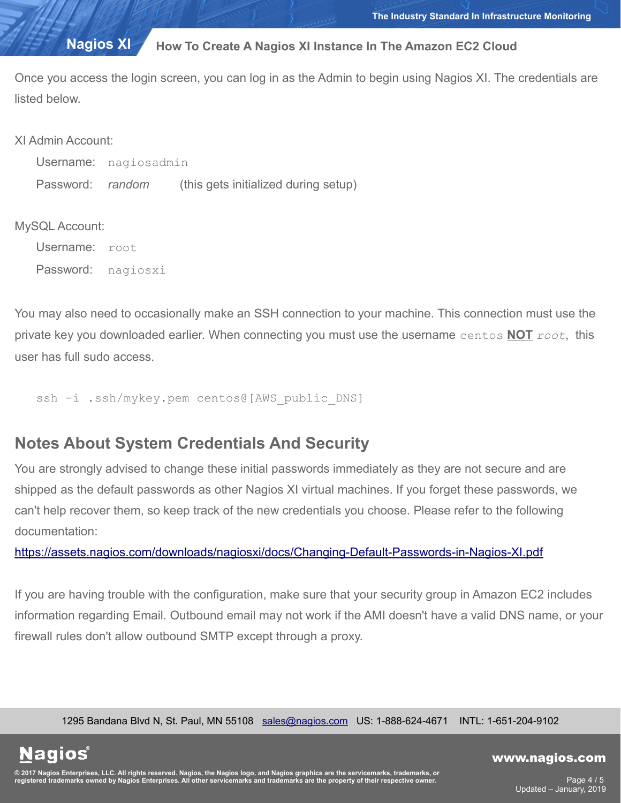Once you access the login screen, you can log in as the Admin to begin using Nagios XI. The credentials are listed below.

| XI Admin Account:     |                                      |
|-----------------------|--------------------------------------|
| Username: nagiosadmin |                                      |
| Password: random      | (this gets initialized during setup) |

### MySQL Account:

Username: root Password: nagiosxi

You may also need to occasionally make an SSH connection to your machine. This connection must use the private key you downloaded earlier. When connecting you must use the username centos **NOT** *root*, this user has full sudo access.

ssh -i .ssh/mykey.pem centos@[AWS\_public\_DNS]

## **Notes About System Credentials And Security**

You are strongly advised to change these initial passwords immediately as they are not secure and are shipped as the default passwords as other Nagios XI virtual machines. If you forget these passwords, we can't help recover them, so keep track of the new credentials you choose. Please refer to the following documentation:

<https://assets.nagios.com/downloads/nagiosxi/docs/Changing-Default-Passwords-in-Nagios-XI.pdf>

If you are having trouble with the configuration, make sure that your security group in Amazon EC2 includes information regarding Email. Outbound email may not work if the AMI doesn't have a valid DNS name, or your firewall rules don't allow outbound SMTP except through a proxy.

1295 Bandana Blvd N, St. Paul, MN 55108 [sales@nagios.com](mailto:sales@nagios.com) US: 1-888-624-4671 INTL: 1-651-204-9102

**Nagios**®

### [www.nagios.com](https://www.nagios.com/)

© 2017 Nagios Enterprises, LLC. All rights reserved. Nagios, the Nagios logo, and Nagios graphics are the servicemarks, trademarks, or<br>registered trademarks owned by Nagios Enterprises. All other servicemarks and trademark